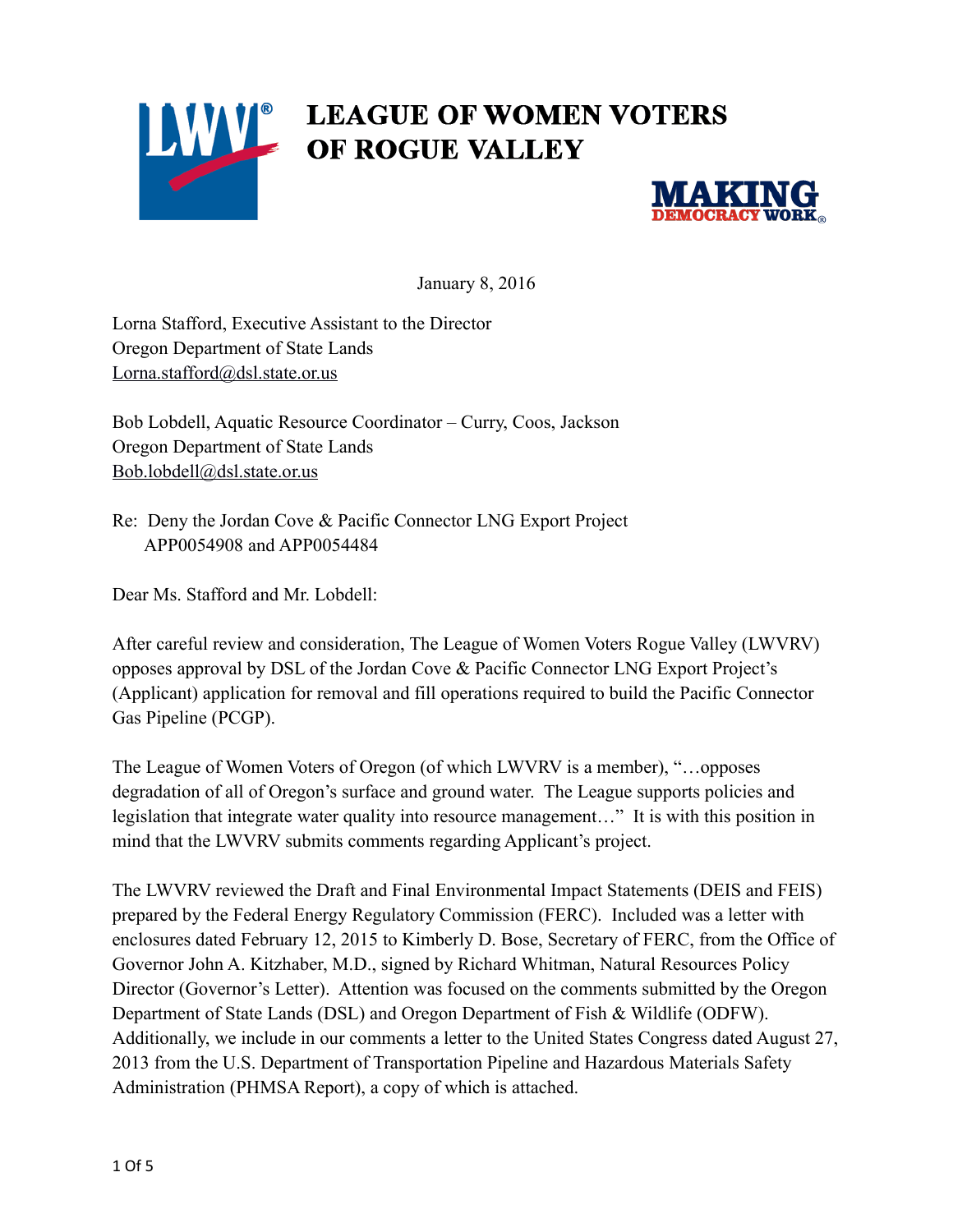



January 8, 2016

Lorna Stafford, Executive Assistant to the Director Oregon Department of State Lands [Lorna.stafford@dsl.state.or.us](mailto:Lorna.stafford@dsl.state.or.us)

Bob Lobdell, Aquatic Resource Coordinator – Curry, Coos, Jackson Oregon Department of State Lands [Bob.lobdell@dsl.state.or.us](mailto:Bob.lobdell@dsl.state.or.us)

Re: Deny the Jordan Cove & Pacific Connector LNG Export Project APP0054908 and APP0054484

Dear Ms. Stafford and Mr. Lobdell:

After careful review and consideration, The League of Women Voters Rogue Valley (LWVRV) opposes approval by DSL of the Jordan Cove & Pacific Connector LNG Export Project's (Applicant) application for removal and fill operations required to build the Pacific Connector Gas Pipeline (PCGP).

The League of Women Voters of Oregon (of which LWVRV is a member), "…opposes degradation of all of Oregon's surface and ground water. The League supports policies and legislation that integrate water quality into resource management…" It is with this position in mind that the LWVRV submits comments regarding Applicant's project.

The LWVRV reviewed the Draft and Final Environmental Impact Statements (DEIS and FEIS) prepared by the Federal Energy Regulatory Commission (FERC). Included was a letter with enclosures dated February 12, 2015 to Kimberly D. Bose, Secretary of FERC, from the Office of Governor John A. Kitzhaber, M.D., signed by Richard Whitman, Natural Resources Policy Director (Governor's Letter). Attention was focused on the comments submitted by the Oregon Department of State Lands (DSL) and Oregon Department of Fish & Wildlife (ODFW). Additionally, we include in our comments a letter to the United States Congress dated August 27, 2013 from the U.S. Department of Transportation Pipeline and Hazardous Materials Safety Administration (PHMSA Report), a copy of which is attached.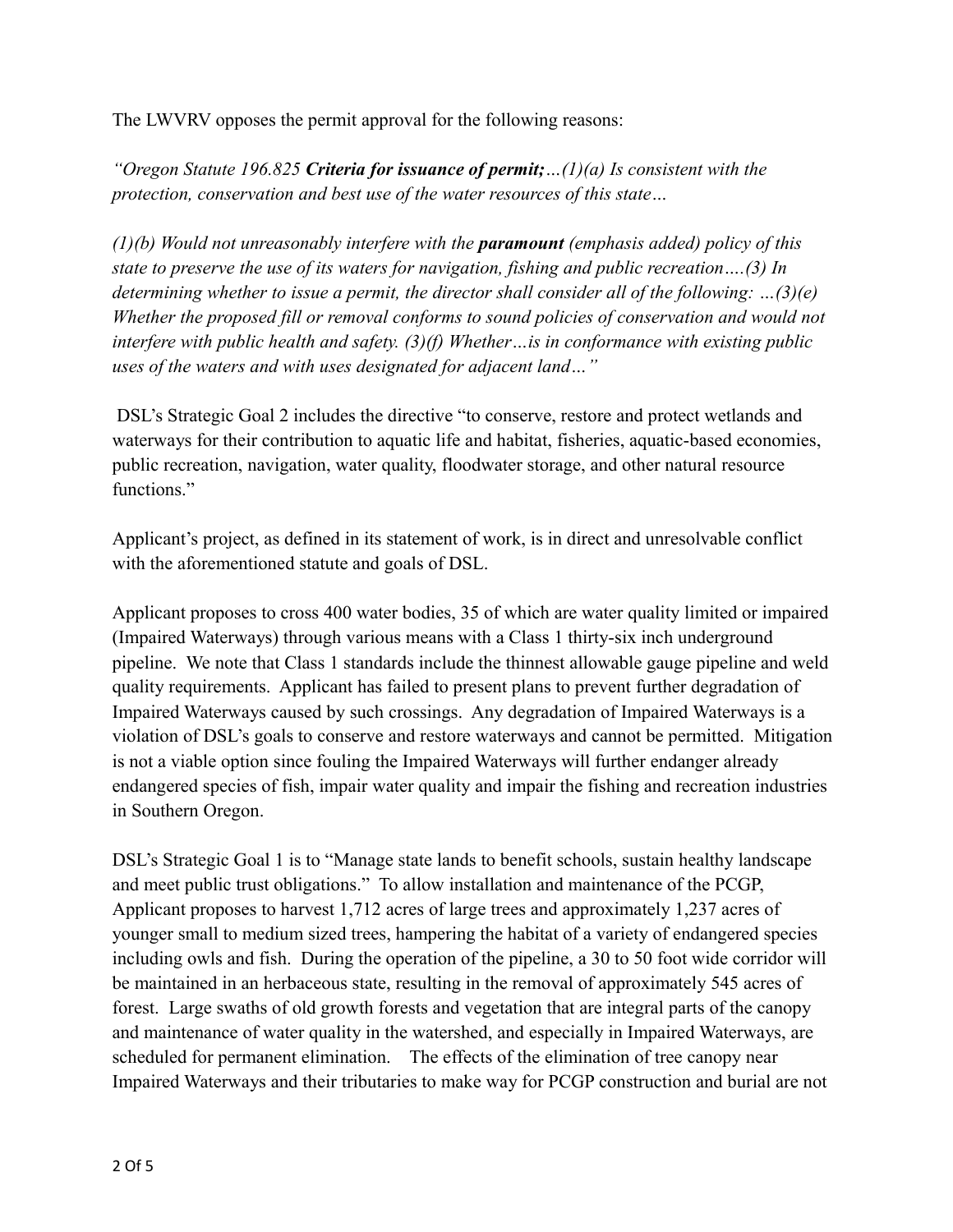The LWVRV opposes the permit approval for the following reasons:

*"Oregon Statute 196.825 Criteria for issuance of permit;…(1)(a) Is consistent with the protection, conservation and best use of the water resources of this state…* 

*(1)(b) Would not unreasonably interfere with the paramount (emphasis added) policy of this state to preserve the use of its waters for navigation, fishing and public recreation….(3) In determining whether to issue a permit, the director shall consider all of the following: …(3)(e) Whether the proposed fill or removal conforms to sound policies of conservation and would not interfere with public health and safety. (3)(f) Whether…is in conformance with existing public uses of the waters and with uses designated for adjacent land…"*

 DSL's Strategic Goal 2 includes the directive "to conserve, restore and protect wetlands and waterways for their contribution to aquatic life and habitat, fisheries, aquatic-based economies, public recreation, navigation, water quality, floodwater storage, and other natural resource functions."

Applicant's project, as defined in its statement of work, is in direct and unresolvable conflict with the aforementioned statute and goals of DSL.

Applicant proposes to cross 400 water bodies, 35 of which are water quality limited or impaired (Impaired Waterways) through various means with a Class 1 thirty-six inch underground pipeline. We note that Class 1 standards include the thinnest allowable gauge pipeline and weld quality requirements. Applicant has failed to present plans to prevent further degradation of Impaired Waterways caused by such crossings. Any degradation of Impaired Waterways is a violation of DSL's goals to conserve and restore waterways and cannot be permitted. Mitigation is not a viable option since fouling the Impaired Waterways will further endanger already endangered species of fish, impair water quality and impair the fishing and recreation industries in Southern Oregon.

DSL's Strategic Goal 1 is to "Manage state lands to benefit schools, sustain healthy landscape and meet public trust obligations." To allow installation and maintenance of the PCGP, Applicant proposes to harvest 1,712 acres of large trees and approximately 1,237 acres of younger small to medium sized trees, hampering the habitat of a variety of endangered species including owls and fish. During the operation of the pipeline, a 30 to 50 foot wide corridor will be maintained in an herbaceous state, resulting in the removal of approximately 545 acres of forest. Large swaths of old growth forests and vegetation that are integral parts of the canopy and maintenance of water quality in the watershed, and especially in Impaired Waterways, are scheduled for permanent elimination. The effects of the elimination of tree canopy near Impaired Waterways and their tributaries to make way for PCGP construction and burial are not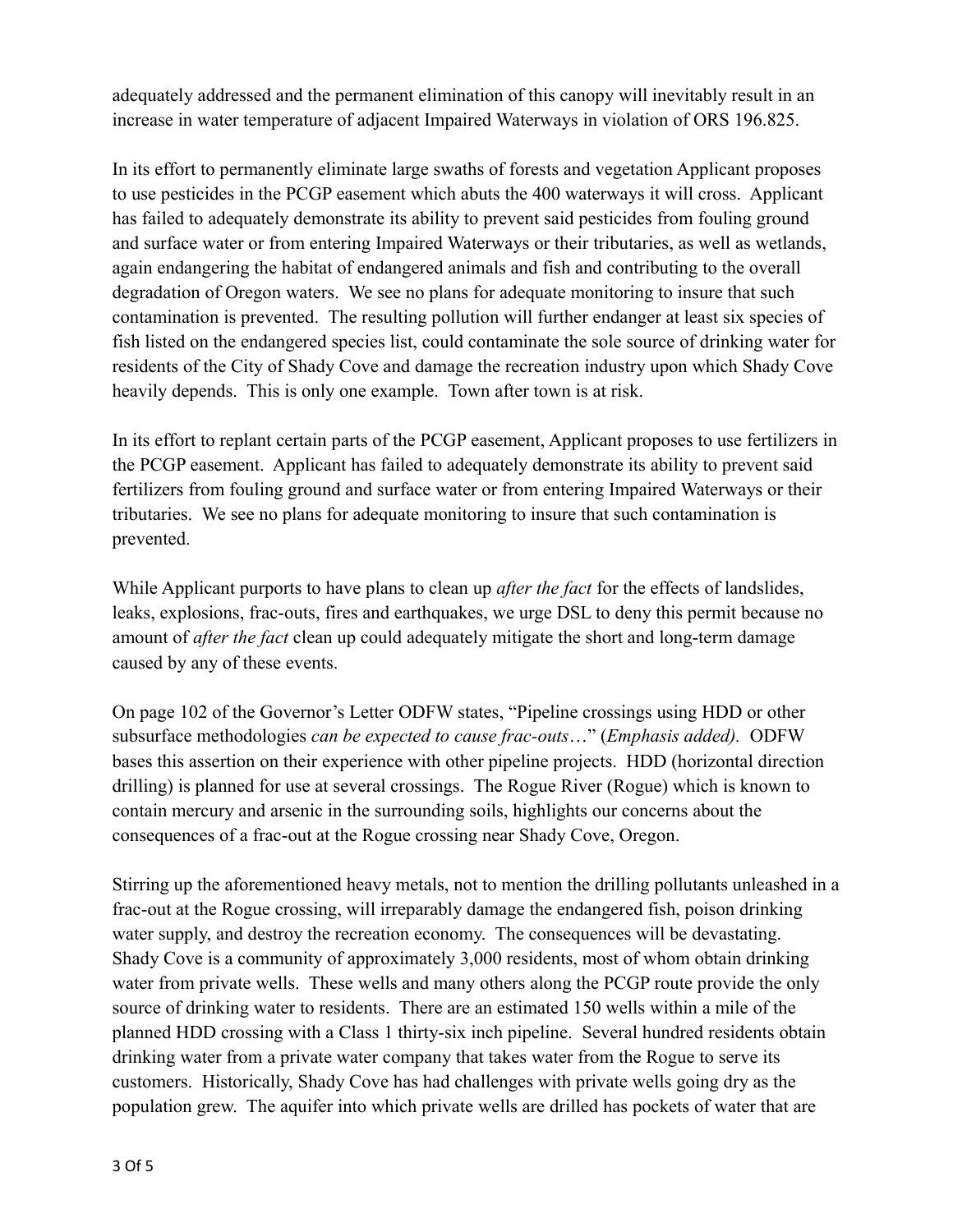adequately addressed and the permanent elimination of this canopy will inevitably result in an increase in water temperature of adjacent Impaired Waterways in violation of ORS 196.825.

In its effort to permanently eliminate large swaths of forests and vegetation Applicant proposes to use pesticides in the PCGP easement which abuts the 400 waterways it will cross. Applicant has failed to adequately demonstrate its ability to prevent said pesticides from fouling ground and surface water or from entering Impaired Waterways or their tributaries, as well as wetlands, again endangering the habitat of endangered animals and fish and contributing to the overall degradation of Oregon waters. We see no plans for adequate monitoring to insure that such contamination is prevented. The resulting pollution will further endanger at least six species of fish listed on the endangered species list, could contaminate the sole source of drinking water for residents of the City of Shady Cove and damage the recreation industry upon which Shady Cove heavily depends. This is only one example. Town after town is at risk.

In its effort to replant certain parts of the PCGP easement, Applicant proposes to use fertilizers in the PCGP easement. Applicant has failed to adequately demonstrate its ability to prevent said fertilizers from fouling ground and surface water or from entering Impaired Waterways or their tributaries. We see no plans for adequate monitoring to insure that such contamination is prevented.

While Applicant purports to have plans to clean up *after the fact* for the effects of landslides, leaks, explosions, frac-outs, fires and earthquakes, we urge DSL to deny this permit because no amount of *after the fact* clean up could adequately mitigate the short and long-term damage caused by any of these events.

On page 102 of the Governor's Letter ODFW states, "Pipeline crossings using HDD or other subsurface methodologies *can be expected to cause frac-outs*…" (*Emphasis added).* ODFW bases this assertion on their experience with other pipeline projects. HDD (horizontal direction drilling) is planned for use at several crossings. The Rogue River (Rogue) which is known to contain mercury and arsenic in the surrounding soils, highlights our concerns about the consequences of a frac-out at the Rogue crossing near Shady Cove, Oregon.

Stirring up the aforementioned heavy metals, not to mention the drilling pollutants unleashed in a frac-out at the Rogue crossing, will irreparably damage the endangered fish, poison drinking water supply, and destroy the recreation economy. The consequences will be devastating. Shady Cove is a community of approximately 3,000 residents, most of whom obtain drinking water from private wells. These wells and many others along the PCGP route provide the only source of drinking water to residents. There are an estimated 150 wells within a mile of the planned HDD crossing with a Class 1 thirty-six inch pipeline. Several hundred residents obtain drinking water from a private water company that takes water from the Rogue to serve its customers. Historically, Shady Cove has had challenges with private wells going dry as the population grew. The aquifer into which private wells are drilled has pockets of water that are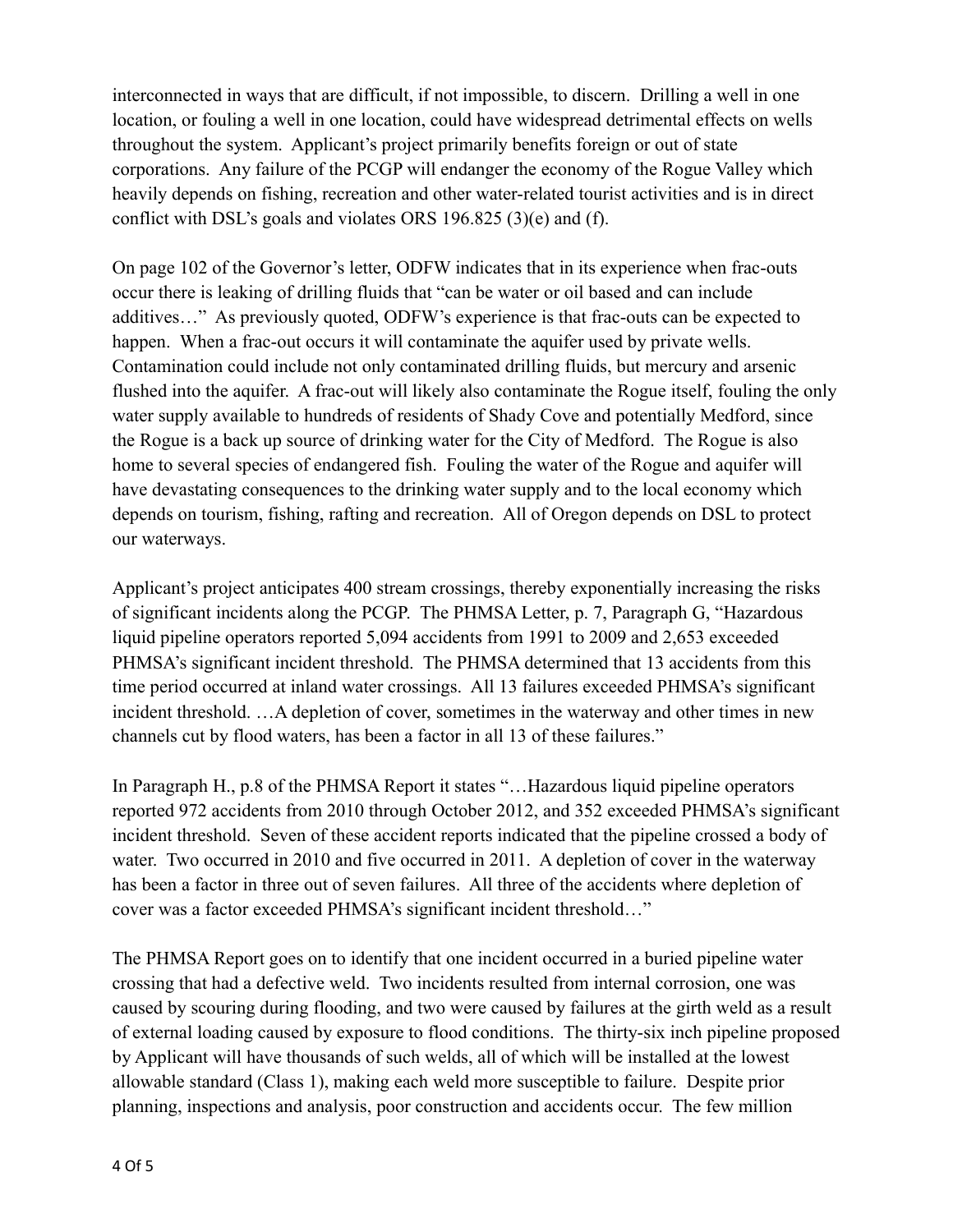interconnected in ways that are difficult, if not impossible, to discern. Drilling a well in one location, or fouling a well in one location, could have widespread detrimental effects on wells throughout the system. Applicant's project primarily benefits foreign or out of state corporations. Any failure of the PCGP will endanger the economy of the Rogue Valley which heavily depends on fishing, recreation and other water-related tourist activities and is in direct conflict with DSL's goals and violates ORS 196.825 (3)(e) and (f).

On page 102 of the Governor's letter, ODFW indicates that in its experience when frac-outs occur there is leaking of drilling fluids that "can be water or oil based and can include additives…" As previously quoted, ODFW's experience is that frac-outs can be expected to happen. When a frac-out occurs it will contaminate the aquifer used by private wells. Contamination could include not only contaminated drilling fluids, but mercury and arsenic flushed into the aquifer. A frac-out will likely also contaminate the Rogue itself, fouling the only water supply available to hundreds of residents of Shady Cove and potentially Medford, since the Rogue is a back up source of drinking water for the City of Medford. The Rogue is also home to several species of endangered fish. Fouling the water of the Rogue and aquifer will have devastating consequences to the drinking water supply and to the local economy which depends on tourism, fishing, rafting and recreation. All of Oregon depends on DSL to protect our waterways.

Applicant's project anticipates 400 stream crossings, thereby exponentially increasing the risks of significant incidents along the PCGP. The PHMSA Letter, p. 7, Paragraph G, "Hazardous liquid pipeline operators reported 5,094 accidents from 1991 to 2009 and 2,653 exceeded PHMSA's significant incident threshold. The PHMSA determined that 13 accidents from this time period occurred at inland water crossings. All 13 failures exceeded PHMSA's significant incident threshold. …A depletion of cover, sometimes in the waterway and other times in new channels cut by flood waters, has been a factor in all 13 of these failures."

In Paragraph H., p.8 of the PHMSA Report it states "…Hazardous liquid pipeline operators reported 972 accidents from 2010 through October 2012, and 352 exceeded PHMSA's significant incident threshold. Seven of these accident reports indicated that the pipeline crossed a body of water. Two occurred in 2010 and five occurred in 2011. A depletion of cover in the waterway has been a factor in three out of seven failures. All three of the accidents where depletion of cover was a factor exceeded PHMSA's significant incident threshold…"

The PHMSA Report goes on to identify that one incident occurred in a buried pipeline water crossing that had a defective weld. Two incidents resulted from internal corrosion, one was caused by scouring during flooding, and two were caused by failures at the girth weld as a result of external loading caused by exposure to flood conditions. The thirty-six inch pipeline proposed by Applicant will have thousands of such welds, all of which will be installed at the lowest allowable standard (Class 1), making each weld more susceptible to failure. Despite prior planning, inspections and analysis, poor construction and accidents occur. The few million